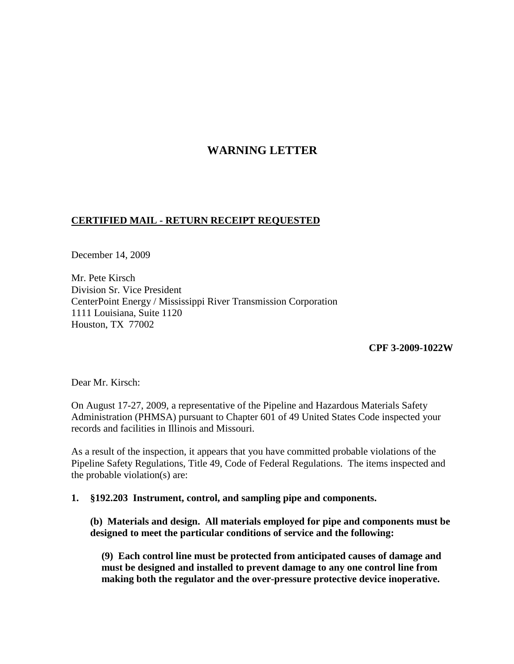# **WARNING LETTER**

### **CERTIFIED MAIL - RETURN RECEIPT REQUESTED**

December 14, 2009

Mr. Pete Kirsch Division Sr. Vice President CenterPoint Energy / Mississippi River Transmission Corporation 1111 Louisiana, Suite 1120 Houston, TX 77002

**CPF 3-2009-1022W**

Dear Mr. Kirsch:

On August 17-27, 2009, a representative of the Pipeline and Hazardous Materials Safety Administration (PHMSA) pursuant to Chapter 601 of 49 United States Code inspected your records and facilities in Illinois and Missouri.

As a result of the inspection, it appears that you have committed probable violations of the Pipeline Safety Regulations, Title 49, Code of Federal Regulations. The items inspected and the probable violation(s) are:

#### **1. §192.203 Instrument, control, and sampling pipe and components.**

**(b) Materials and design. All materials employed for pipe and components must be designed to meet the particular conditions of service and the following:**

**(9) Each control line must be protected from anticipated causes of damage and must be designed and installed to prevent damage to any one control line from making both the regulator and the over-pressure protective device inoperative.**